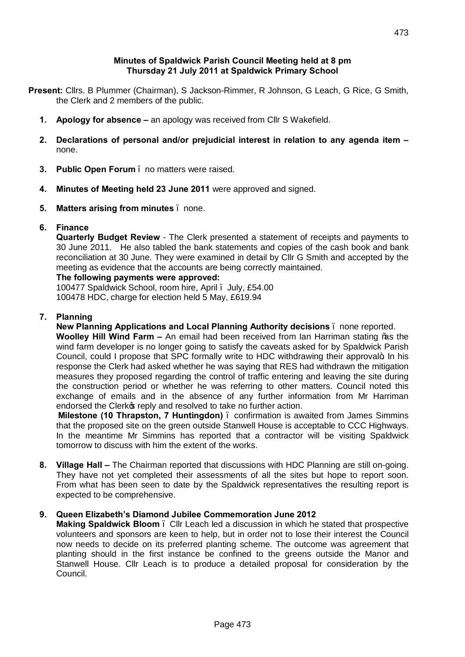## **Minutes of Spaldwick Parish Council Meeting held at 8 pm Thursday 21 July 2011 at Spaldwick Primary School**

- **Present:** Cllrs. B Plummer (Chairman), S Jackson-Rimmer, R Johnson, G Leach, G Rice, G Smith, the Clerk and 2 members of the public.
	- **1. Apology for absence –** an apology was received from Cllr S Wakefield.
	- **2. Declarations of personal and/or prejudicial interest in relation to any agenda item –** none.
	- **3. Public Open Forum** no matters were raised.
	- **4. Minutes of Meeting held 23 June 2011** were approved and signed.
	- **5. Matters arising from minutes** none.

## **6. Finance**

**Quarterly Budget Review** - The Clerk presented a statement of receipts and payments to 30 June 2011. He also tabled the bank statements and copies of the cash book and bank reconciliation at 30 June. They were examined in detail by Cllr G Smith and accepted by the meeting as evidence that the accounts are being correctly maintained.

# **The following payments were approved:**

100477 Spaldwick School, room hire, April . July, £54.00 100478 HDC, charge for election held 5 May, £619.94

## **7. Planning**

**New Planning Applications and Local Planning Authority decisions** – none reported. **Woolley Hill Wind Farm –** An email had been received from Ian Harriman stating % the wind farm developer is no longer going to satisfy the caveats asked for by Spaldwick Parish Council, could I propose that SPC formally write to HDC withdrawing their approval  $\pm$  In his response the Clerk had asked whether he was saying that RES had withdrawn the mitigation measures they proposed regarding the control of traffic entering and leaving the site during the construction period or whether he was referring to other matters. Council noted this exchange of emails and in the absence of any further information from Mr Harriman endorsed the Clerk<sup>o</sup>s reply and resolved to take no further action.

**Milestone (10 Thrapston, 7 Huntingdon)** – confirmation is awaited from James Simmins that the proposed site on the green outside Stanwell House is acceptable to CCC Highways. In the meantime Mr Simmins has reported that a contractor will be visiting Spaldwick tomorrow to discuss with him the extent of the works.

**8. Village Hall –** The Chairman reported that discussions with HDC Planning are still on-going. They have not yet completed their assessments of all the sites but hope to report soon. From what has been seen to date by the Spaldwick representatives the resulting report is expected to be comprehensive.

## **9. Queen Elizabeth's Diamond Jubilee Commemoration June 2012**

**Making Spaldwick Bloom** – Cllr Leach led a discussion in which he stated that prospective volunteers and sponsors are keen to help, but in order not to lose their interest the Council now needs to decide on its preferred planting scheme. The outcome was agreement that planting should in the first instance be confined to the greens outside the Manor and Stanwell House. Cllr Leach is to produce a detailed proposal for consideration by the Council.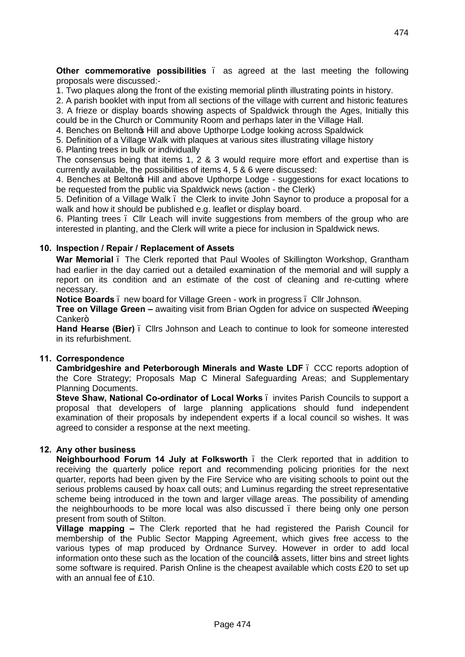**Other commemorative possibilities** as agreed at the last meeting the following proposals were discussed:-

1. Two plaques along the front of the existing memorial plinth illustrating points in history.

2. A parish booklet with input from all sections of the village with current and historic features 3. A frieze or display boards showing aspects of Spaldwick through the Ages, Initially this

could be in the Church or Community Room and perhaps later in the Village Hall. 4. Benches on Belton $\infty$  Hill and above Upthorpe Lodge looking across Spaldwick

5. Definition of a Village Walk with plaques at various sites illustrating village history

6. Planting trees in bulk or individually

The consensus being that items 1, 2 & 3 would require more effort and expertise than is currently available, the possibilities of items 4, 5 & 6 were discussed:

4. Benches at Belton f Hill and above Upthorpe Lodge - suggestions for exact locations to be requested from the public via Spaldwick news (action - the Clerk)

5. Definition of a Village Walk – the Clerk to invite John Saynor to produce a proposal for a walk and how it should be published e.g. leaflet or display board.

6. Planting trees – Cllr Leach will invite suggestions from members of the group who are interested in planting, and the Clerk will write a piece for inclusion in Spaldwick news.

#### **10. Inspection / Repair / Replacement of Assets**

**War Memorial** – The Clerk reported that Paul Wooles of Skillington Workshop, Grantham had earlier in the day carried out a detailed examination of the memorial and will supply a report on its condition and an estimate of the cost of cleaning and re-cutting where necessary.

**Notice Boards** – new board for Village Green - work in progress – Cllr Johnson.

**Tree on Village Green –** awaiting visit from Brian Ogden for advice on suspected Weeping Canker+

**Hand Hearse (Bier)** – Cllrs Johnson and Leach to continue to look for someone interested in its refurbishment.

## **11. Correspondence**

**Cambridgeshire and Peterborough Minerals and Waste LDF** – CCC reports adoption of the Core Strategy; Proposals Map C Mineral Safeguarding Areas; and Supplementary Planning Documents.

**Steve Shaw, National Co-ordinator of Local Works** – invites Parish Councils to support a proposal that developers of large planning applications should fund independent examination of their proposals by independent experts if a local council so wishes. It was agreed to consider a response at the next meeting.

## **12. Any other business**

**Neighbourhood Forum 14 July at Folksworth** – the Clerk reported that in addition to receiving the quarterly police report and recommending policing priorities for the next quarter, reports had been given by the Fire Service who are visiting schools to point out the serious problems caused by hoax call outs; and Luminus regarding the street representative scheme being introduced in the town and larger village areas. The possibility of amending the neighbourhoods to be more local was also discussed – there being only one person present from south of Stilton.

**Village mapping –** The Clerk reported that he had registered the Parish Council for membership of the Public Sector Mapping Agreement, which gives free access to the various types of map produced by Ordnance Survey. However in order to add local information onto these such as the location of the councilos assets, litter bins and street lights some software is required. Parish Online is the cheapest available which costs £20 to set up with an annual fee of £10.